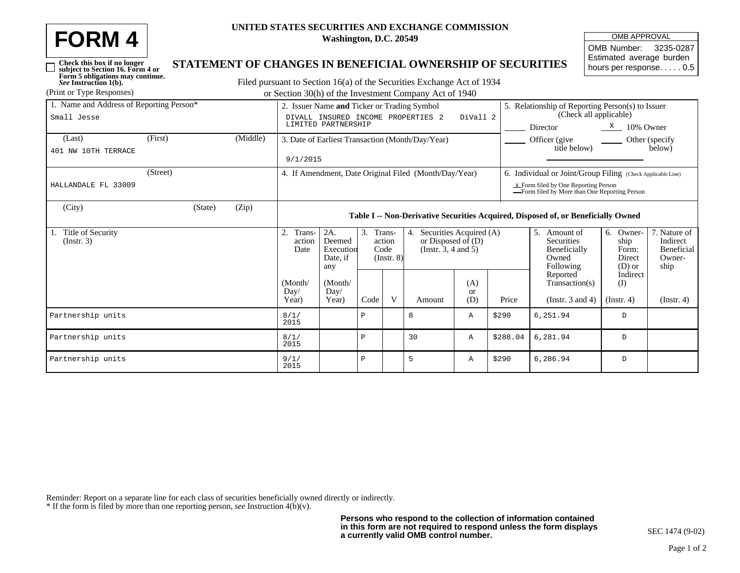| <b>FORM4</b> | UNITED STATE |
|--------------|--------------|
|              |              |

*See* **Instruction 1(b).**

 $\Box$ 

## **UNITED STATES SECURITIES AND EXCHANGE COMMISSION Washington, D.C. 20549**

| <b>OMB APPROVAL</b>      |  |  |  |  |  |  |
|--------------------------|--|--|--|--|--|--|
| OMB Number: 3235-0287    |  |  |  |  |  |  |
| Estimated average burden |  |  |  |  |  |  |
| hours per response. 0.5  |  |  |  |  |  |  |

## **Check this box if no longer subject to Section 16. Form 4 or Form 5 obligations may continue. STATEMENT OF CHANGES IN BENEFICIAL OWNERSHIP OF SECURITIES**

Filed pursuant to Section 16(a) of the Securities Exchange Act of 1934 (Print or Type Responses) or Section 30(h) of the Investment Company Act of 1940

| 1. Name and Address of Reporting Person* | 2. Issuer Name and Ticker or Trading Symbol<br>DIVALL INSURED INCOME PROPERTIES 2<br>DiVall 2<br>LIMITED PARTNERSHIP |          |                                                                                   |                                                                           |                                                |   |                                                                         | 5. Relationship of Reporting Person(s) to Issuer<br>(Check all applicable)              |          |                                                                      |                                                     |                                                          |  |  |
|------------------------------------------|----------------------------------------------------------------------------------------------------------------------|----------|-----------------------------------------------------------------------------------|---------------------------------------------------------------------------|------------------------------------------------|---|-------------------------------------------------------------------------|-----------------------------------------------------------------------------------------|----------|----------------------------------------------------------------------|-----------------------------------------------------|----------------------------------------------------------|--|--|
| Small Jesse                              |                                                                                                                      |          |                                                                                   |                                                                           |                                                |   |                                                                         | Director<br>$\frac{\text{X}}{\text{A}}$ 10% Owner                                       |          |                                                                      |                                                     |                                                          |  |  |
| (Last)                                   | (First)                                                                                                              | (Middle) | 3. Date of Earliest Transaction (Month/Day/Year)                                  |                                                                           |                                                |   |                                                                         |                                                                                         |          | Officer (give<br>Other (specify)<br>title below)<br>below)           |                                                     |                                                          |  |  |
| 401 NW 10TH TERRACE                      | 9/1/2015                                                                                                             |          |                                                                                   |                                                                           |                                                |   |                                                                         |                                                                                         |          |                                                                      |                                                     |                                                          |  |  |
|                                          | (Street)                                                                                                             |          |                                                                                   | 4. If Amendment, Date Original Filed (Month/Day/Year)                     |                                                |   |                                                                         |                                                                                         |          | 6. Individual or Joint/Group Filing (Check Applicable Line)          |                                                     |                                                          |  |  |
| HALLANDALE FL 33009                      |                                                                                                                      |          |                                                                                   |                                                                           |                                                |   |                                                                         | $x$ Form filed by One Reporting Person<br>-Form filed by More than One Reporting Person |          |                                                                      |                                                     |                                                          |  |  |
| (City)                                   | (State)                                                                                                              | (Zip)    | Table I -- Non-Derivative Securities Acquired, Disposed of, or Beneficially Owned |                                                                           |                                                |   |                                                                         |                                                                                         |          |                                                                      |                                                     |                                                          |  |  |
| 1. Title of Security<br>(Insert. 3)      |                                                                                                                      |          | 2.<br>Trans-<br>action<br>Date                                                    | 2A.<br>Deemed<br>Execution<br>Date, if<br>any<br>(Month/<br>Day/<br>Year) | 3. Trans-<br>action<br>Code<br>$($ Instr. $8)$ |   | Securities Acquired (A)<br>or Disposed of $(D)$<br>(Insert. 3, 4 and 5) |                                                                                         |          | .5.<br>Amount of<br>Securities<br>Beneficially<br>Owned<br>Following | Owner-<br>6.<br>ship<br>Form:<br>Direct<br>$(D)$ or | 7. Nature of<br>Indirect<br>Beneficial<br>Owner-<br>ship |  |  |
|                                          |                                                                                                                      |          | (Month/<br>Day/<br>Year)                                                          |                                                                           | Code                                           | V | Amount                                                                  | (A)<br><b>or</b><br>(D)                                                                 | Price    | Reported<br>Transaction(s)<br>(Instr. $3$ and $4$ )                  | Indirect<br>(I)<br>$($ Instr. 4 $)$                 | (Insert 4)                                               |  |  |
| Partnership units                        |                                                                                                                      |          | 8/1/<br>2015                                                                      |                                                                           | Ρ                                              |   | 8                                                                       | Α                                                                                       | \$290    | 6,251.94                                                             | D                                                   |                                                          |  |  |
| Partnership units                        |                                                                                                                      |          | 8/1/<br>2015                                                                      |                                                                           | Ρ                                              |   | 30                                                                      | Α                                                                                       | \$288.04 | 6,281.94                                                             | D                                                   |                                                          |  |  |
| Partnership units                        |                                                                                                                      |          | 9/1/<br>2015                                                                      |                                                                           | Ρ                                              |   | 5                                                                       | Α                                                                                       | \$290    | 6,286.94                                                             | D                                                   |                                                          |  |  |

Reminder: Report on a separate line for each class of securities beneficially owned directly or indirectly. \* If the form is filed by more than one reporting person, *see* Instruction 4(b)(v).

**Persons who respond to the collection of information contained in this form are not required to respond unless the form displays a currently valid OMB control number.**

SEC 1474 (9-02)